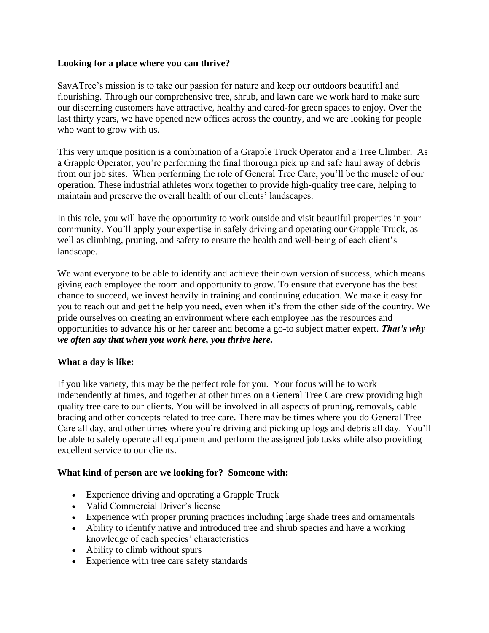### **Looking for a place where you can thrive?**

SavATree's mission is to take our passion for nature and keep our outdoors beautiful and flourishing. Through our comprehensive tree, shrub, and lawn care we work hard to make sure our discerning customers have attractive, healthy and cared-for green spaces to enjoy. Over the last thirty years, we have opened new offices across the country, and we are looking for people who want to grow with us.

This very unique position is a combination of a Grapple Truck Operator and a Tree Climber. As a Grapple Operator, you're performing the final thorough pick up and safe haul away of debris from our job sites. When performing the role of General Tree Care, you'll be the muscle of our operation. These industrial athletes work together to provide high-quality tree care, helping to maintain and preserve the overall health of our clients' landscapes.

In this role, you will have the opportunity to work outside and visit beautiful properties in your community. You'll apply your expertise in safely driving and operating our Grapple Truck, as well as climbing, pruning, and safety to ensure the health and well-being of each client's landscape.

We want everyone to be able to identify and achieve their own version of success, which means giving each employee the room and opportunity to grow. To ensure that everyone has the best chance to succeed, we invest heavily in training and continuing education. We make it easy for you to reach out and get the help you need, even when it's from the other side of the country. We pride ourselves on creating an environment where each employee has the resources and opportunities to advance his or her career and become a go-to subject matter expert. *That's why we often say that when you work here, you thrive here.*

# **What a day is like:**

If you like variety, this may be the perfect role for you. Your focus will be to work independently at times, and together at other times on a General Tree Care crew providing high quality tree care to our clients. You will be involved in all aspects of pruning, removals, cable bracing and other concepts related to tree care. There may be times where you do General Tree Care all day, and other times where you're driving and picking up logs and debris all day. You'll be able to safely operate all equipment and perform the assigned job tasks while also providing excellent service to our clients.

#### **What kind of person are we looking for? Someone with:**

- Experience driving and operating a Grapple Truck
- Valid Commercial Driver's license
- Experience with proper pruning practices including large shade trees and ornamentals
- Ability to identify native and introduced tree and shrub species and have a working knowledge of each species' characteristics
- Ability to climb without spurs
- Experience with tree care safety standards